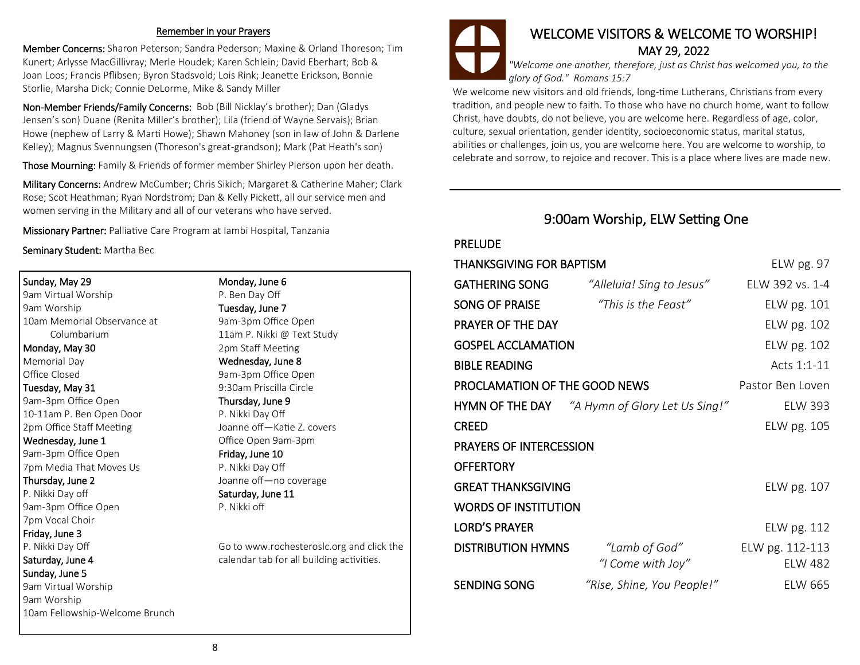#### Remember in your Prayers

Member Concerns: Sharon Peterson; Sandra Pederson; Maxine & Orland Thoreson; Tim Kunert; Arlysse MacGillivray; Merle Houdek; Karen Schlein; David Eberhart; Bob & Joan Loos; Francis Pflibsen; Byron Stadsvold; Lois Rink; Jeanette Erickson, Bonnie Storlie, Marsha Dick; Connie DeLorme, Mike & Sandy Miller

Non-Member Friends/Family Concerns: Bob (Bill Nicklay's brother); Dan (Gladys Jensen's son) Duane (Renita Miller's brother); Lila (friend of Wayne Servais); Brian Howe (nephew of Larry & Marti Howe); Shawn Mahoney (son in law of John & Darlene Kelley); Magnus Svennungsen (Thoreson's great-grandson); Mark (Pat Heath's son)

Those Mourning: Family & Friends of former member Shirley Pierson upon her death.

Military Concerns: Andrew McCumber; Chris Sikich; Margaret & Catherine Maher; Clark Rose; Scot Heathman; Ryan Nordstrom; Dan & Kelly Pickett, all our service men and women serving in the Military and all of our veterans who have served.

Missionary Partner: Palliative Care Program at Iambi Hospital, Tanzania

Seminary Student: Martha Bec

Sunday, May 29 9am Virtual Worship 9am Worship 10am Memorial Observance at Columbarium

Monday, May 30 Memorial Day Office Closed

Tuesday, May 31 9am-3pm Office Open 10-11am P. Ben Open Door 2pm Office Staff Meeting

#### Wednesday, June 1

9am-3pm Office Open 7pm Media That Moves Us

#### Thursday, June 2

P. Nikki Day off 9am-3pm Office Open 7pm Vocal Choir

#### Friday, June 3

P. Nikki Day Off

#### Saturday, June 4

#### Sunday, June 5

9am Virtual Worship 9am Worship 10am Fellowship-Welcome Brunch Monday, June 6 P. Ben Day Off Tuesday, June 7

9am-3pm Office Open 11am P. Nikki @ Text Study 2pm Staff Meeting Wednesday, June 8 9am-3pm Office Open 9:30am Priscilla Circle

Thursday, June 9 P. Nikki Day Off

Joanne off—Katie Z. covers Office Open 9am-3pm Friday, June 10 P. Nikki Day Off

Joanne off—no coverage Saturday, June 11

P. Nikki off

Go to www.rochesteroslc.org and click the calendar tab for all building activities.



*"Welcome one another, therefore, just as Christ has welcomed you, to the glory of God." Romans 15:7*

We welcome new visitors and old friends, long-time Lutherans, Christians from every tradition, and people new to faith. To those who have no church home, want to follow Christ, have doubts, do not believe, you are welcome here. Regardless of age, color, culture, sexual orientation, gender identity, socioeconomic status, marital status, abilities or challenges, join us, you are welcome here. You are welcome to worship, to celebrate and sorrow, to rejoice and recover. This is a place where lives are made new.

### 9:00am Worship, ELW Setting One

#### PRELUDE

| THANKSGIVING FOR BAPTISM      |                                                       | ELW pg. 97                        |
|-------------------------------|-------------------------------------------------------|-----------------------------------|
| <b>GATHERING SONG</b>         | "Alleluia! Sing to Jesus"                             | ELW 392 vs. 1-4                   |
| SONG OF PRAISE                | "This is the Feast"                                   | ELW pg. 101                       |
| PRAYER OF THE DAY             |                                                       | ELW pg. 102                       |
| <b>GOSPEL ACCLAMATION</b>     |                                                       | ELW pg. 102                       |
| <b>BIBLE READING</b>          |                                                       | Acts 1:1-11                       |
| PROCLAMATION OF THE GOOD NEWS |                                                       | Pastor Ben Loven                  |
|                               | <b>HYMN OF THE DAY</b> "A Hymn of Glory Let Us Sing!" | <b>ELW 393</b>                    |
| CREED                         |                                                       | ELW pg. 105                       |
| PRAYERS OF INTERCESSION       |                                                       |                                   |
| OFFERTORY                     |                                                       |                                   |
| <b>GREAT THANKSGIVING</b>     |                                                       | ELW pg. 107                       |
| <b>WORDS OF INSTITUTION</b>   |                                                       |                                   |
| <b>LORD'S PRAYER</b>          |                                                       | ELW pg. 112                       |
| <b>DISTRIBUTION HYMNS</b>     | "Lamb of God"<br>"I Come with Joy"                    | ELW pg. 112-113<br><b>ELW 482</b> |
| SENDING SONG                  | "Rise, Shine, You People!"                            | <b>ELW 665</b>                    |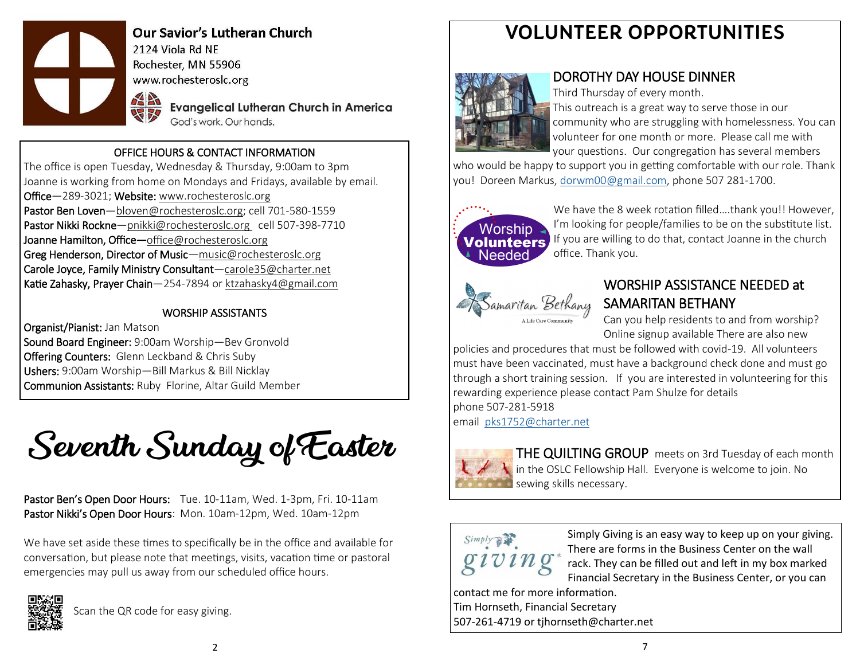

**Our Savior's Lutheran Church** 2124 Viola Rd NF Rochester, MN 55906 www.rochesteroslc.org

> **Evangelical Lutheran Church in America** God's work, Our hands.

#### OFFICE HOURS & CONTACT INFORMATION

The office is open Tuesday, Wednesday & Thursday, 9:00am to 3pm Joanne is working from home on Mondays and Fridays, available by email. Office—289-3021; Website: www.rochesteroslc.org Pastor Ben Loven-bloven@rochesteroslc.org; cell 701-580-1559 Pastor Nikki Rockne-pnikki@rochesteroslc.org cell 507-398-7710 Joanne Hamilton, Office-office@rochesteroslc.org Greg Henderson, Director of Music—music@rochesteroslc.org Carole Joyce, Family Ministry Consultant—carole35@charter.net Katie Zahasky, Prayer Chain—254-7894 or ktzahasky4@gmail.com

#### WORSHIP ASSISTANTS

Organist/Pianist: Jan Matson Sound Board Engineer: 9:00am Worship—Bev Gronvold Offering Counters: Glenn Leckband & Chris Suby Ushers: 9:00am Worship—Bill Markus & Bill Nicklay Communion Assistants: Ruby Florine, Altar Guild Member

Seventh Sunday of Easter

Pastor Ben's Open Door Hours: Tue. 10-11am, Wed. 1-3pm, Fri. 10-11am Pastor Nikki's Open Door Hours: Mon. 10am-12pm, Wed. 10am-12pm

We have set aside these times to specifically be in the office and available for conversation, but please note that meetings, visits, vacation time or pastoral emergencies may pull us away from our scheduled office hours.



Scan the QR code for easy giving.

# **VOLUNTEER OPPORTUNITIES**



### DOROTHY DAY HOUSE DINNER

Third Thursday of every month. This outreach is a great way to serve those in our community who are struggling with homelessness. You can volunteer for one month or more. Please call me with your questions. Our congregation has several members

who would be happy to support you in getting comfortable with our role. Thank you! Doreen Markus, [dorwm00@gmail.com,](mailto:dorwm00@gmail.com) phone 507 281-1700.



We have the 8 week rotation filled....thank you!! However, I'm looking for people/families to be on the substitute list. If you are willing to do that, contact Joanne in the church office. Thank you.



## WORSHIP ASSISTANCE NEEDED at SAMARITAN BETHANY

Can you help residents to and from worship? Online signup available There are also new

policies and procedures that must be followed with covid-19. All volunteers must have been vaccinated, must have a background check done and must go through a short training session. If you are interested in volunteering for this rewarding experience please contact Pam Shulze for details phone 507-281-5918 email [pks1752@charter.net](mailto:pks1752@charter.net)

THE QUILTING GROUP meets on 3rd Tuesday of each month in the OSLC Fellowship Hall. Everyone is welcome to join. No sewing skills necessary.



Simply Giving is an easy way to keep up on your giving. There are forms in the Business Center on the wall rack. They can be filled out and left in my box marked Financial Secretary in the Business Center, or you can

contact me for more information. Tim Hornseth, Financial Secretary 507-261-4719 or tjhornseth@charter.net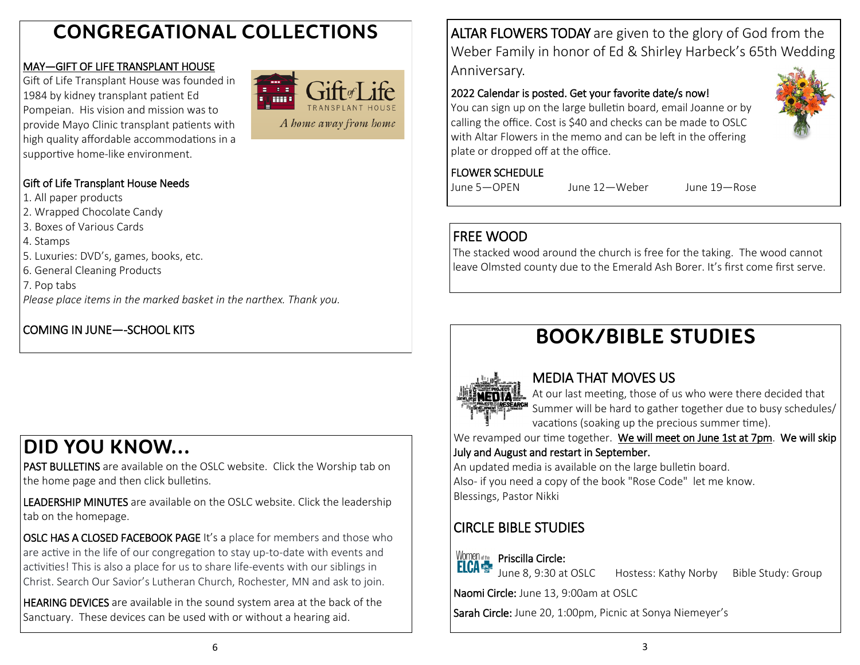# **CONGREGATIONAL COLLECTIONS**

### MAY—GIFT OF LIFE TRANSPLANT HOUSE

Gift of Life Transplant House was founded in 1984 by kidney transplant patient Ed Pompeian. His vision and mission was to provide Mayo Clinic transplant patients with high quality affordable accommodations in a supportive home-like environment.



A home away from home

### Gift of Life Transplant House Needs

1. All paper products

2. Wrapped Chocolate Candy

- 3. Boxes of Various Cards
- 4. Stamps
- 5. Luxuries: DVD's, games, books, etc.
- 6. General Cleaning Products
- 7. Pop tabs

*Please place items in the marked basket in the narthex. Thank you.*

## COMING IN JUNE—-SCHOOL KITS

# **DID YOU KNOW...**

PAST BULLETINS are available on the OSLC website. Click the Worship tab on the home page and then click bulletins.

LEADERSHIP MINUTES are available on the OSLC website. Click the leadership tab on the homepage.

OSLC HAS A CLOSED FACEBOOK PAGE It's a place for members and those who are active in the life of our congregation to stay up-to-date with events and activities! This is also a place for us to share life-events with our siblings in Christ. Search Our Savior's Lutheran Church, Rochester, MN and ask to join.

HEARING DEVICES are available in the sound system area at the back of the Sanctuary. These devices can be used with or without a hearing aid.

ALTAR FLOWERS TODAY are given to the glory of God from the Weber Family in honor of Ed & Shirley Harbeck's 65th Wedding Anniversary.

### 2022 Calendar is posted. Get your favorite date/s now!

You can sign up on the large bulletin board, email Joanne or by calling the office. Cost is \$40 and checks can be made to OSLC with Altar Flowers in the memo and can be left in the offering plate or dropped off at the office.

### FLOWER SCHEDULE

June 5—OPEN June 12—Weber June 19—Rose

## FREE WOOD

The stacked wood around the church is free for the taking. The wood cannot leave Olmsted county due to the Emerald Ash Borer. It's first come first serve.

# **BOOK/BIBLE STUDIES**



## MEDIA THAT MOVES US

At our last meeting, those of us who were there decided that Summer will be hard to gather together due to busy schedules/ vacations (soaking up the precious summer time).

We revamped our time together. We will meet on June 1st at 7pm. We will skip July and August and restart in September.

An updated media is available on the large bulletin board. Also- if you need a copy of the book "Rose Code" let me know. Blessings, Pastor Nikki

# CIRCLE BIBLE STUDIES



Hostess: Kathy Norby Bible Study: Group

Naomi Circle: June 13, 9:00am at OSLC

Sarah Circle: June 20, 1:00pm, Picnic at Sonya Niemeyer's